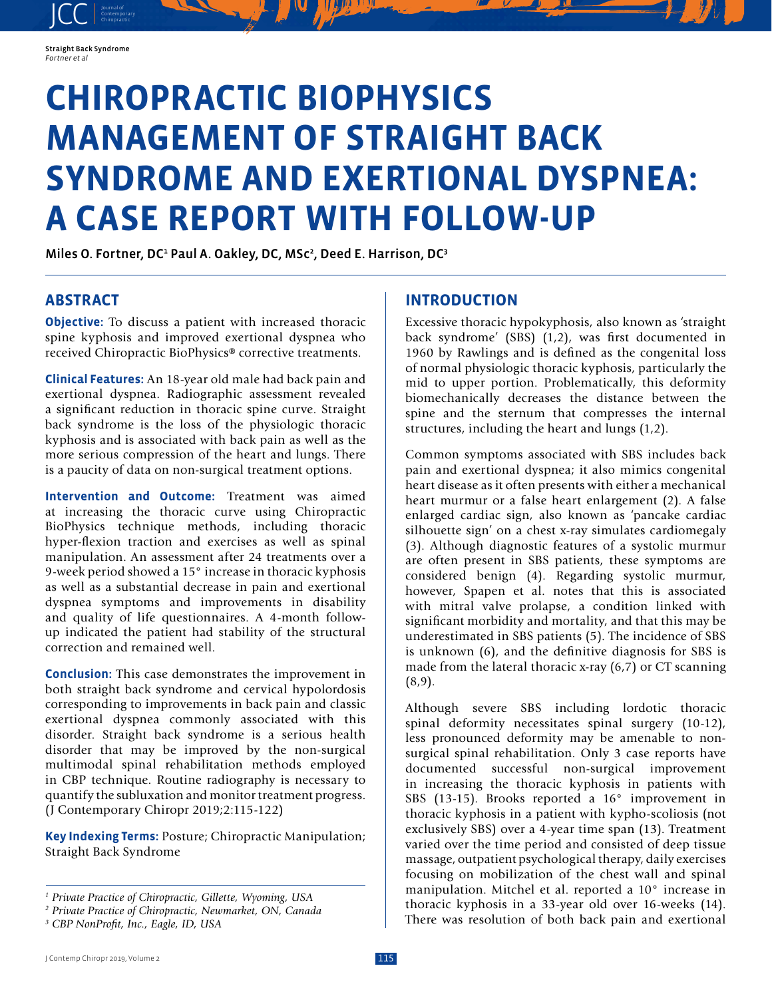

JCC contemporary Contemporary

# **CHIROPRACTIC BIOPHYSICS MANAGEMENT OF STRAIGHT BACK SYNDROME AND EXERTIONAL DYSPNEA: A CASE REPORT WITH FOLLOW-UP**

Miles O. Fortner, DC<sup>1</sup> Paul A. Oakley, DC, MSc<sup>2</sup>, Deed E. Harrison, DC<sup>3</sup>

## **ABSTRACT**

**Objective:** To discuss a patient with increased thoracic spine kyphosis and improved exertional dyspnea who received Chiropractic BioPhysics® corrective treatments.

**Clinical Features:** An 18-year old male had back pain and exertional dyspnea. Radiographic assessment revealed a significant reduction in thoracic spine curve. Straight back syndrome is the loss of the physiologic thoracic kyphosis and is associated with back pain as well as the more serious compression of the heart and lungs. There is a paucity of data on non-surgical treatment options.

**Intervention and Outcome:** Treatment was aimed at increasing the thoracic curve using Chiropractic BioPhysics technique methods, including thoracic hyper-flexion traction and exercises as well as spinal manipulation. An assessment after 24 treatments over a 9-week period showed a 15° increase in thoracic kyphosis as well as a substantial decrease in pain and exertional dyspnea symptoms and improvements in disability and quality of life questionnaires. A 4-month followup indicated the patient had stability of the structural correction and remained well.

**Conclusion:** This case demonstrates the improvement in both straight back syndrome and cervical hypolordosis corresponding to improvements in back pain and classic exertional dyspnea commonly associated with this disorder. Straight back syndrome is a serious health disorder that may be improved by the non-surgical multimodal spinal rehabilitation methods employed in CBP technique. Routine radiography is necessary to quantify the subluxation and monitor treatment progress. (J Contemporary Chiropr 2019;2:115-122)

**Key Indexing Terms:** Posture; Chiropractic Manipulation; Straight Back Syndrome

### **INTRODUCTION**

Excessive thoracic hypokyphosis, also known as 'straight back syndrome' (SBS) (1,2), was first documented in 1960 by Rawlings and is defined as the congenital loss of normal physiologic thoracic kyphosis, particularly the mid to upper portion. Problematically, this deformity biomechanically decreases the distance between the spine and the sternum that compresses the internal structures, including the heart and lungs (1,2).

Common symptoms associated with SBS includes back pain and exertional dyspnea; it also mimics congenital heart disease as it often presents with either a mechanical heart murmur or a false heart enlargement (2). A false enlarged cardiac sign, also known as 'pancake cardiac silhouette sign' on a chest x-ray simulates cardiomegaly (3). Although diagnostic features of a systolic murmur are often present in SBS patients, these symptoms are considered benign (4). Regarding systolic murmur, however, Spapen et al. notes that this is associated with mitral valve prolapse, a condition linked with significant morbidity and mortality, and that this may be underestimated in SBS patients (5). The incidence of SBS is unknown (6), and the definitive diagnosis for SBS is made from the lateral thoracic x-ray (6,7) or CT scanning  $(8,9)$ .

Although severe SBS including lordotic thoracic spinal deformity necessitates spinal surgery (10-12), less pronounced deformity may be amenable to nonsurgical spinal rehabilitation. Only 3 case reports have documented successful non-surgical improvement in increasing the thoracic kyphosis in patients with SBS (13-15). Brooks reported a 16° improvement in thoracic kyphosis in a patient with kypho-scoliosis (not exclusively SBS) over a 4-year time span (13). Treatment varied over the time period and consisted of deep tissue massage, outpatient psychological therapy, daily exercises focusing on mobilization of the chest wall and spinal manipulation. Mitchel et al. reported a 10° increase in thoracic kyphosis in a 33-year old over 16-weeks (14). There was resolution of both back pain and exertional

*<sup>1</sup> Private Practice of Chiropractic, Gillette, Wyoming, USA*

*<sup>2</sup> Private Practice of Chiropractic, Newmarket, ON, Canada*

*<sup>3</sup> CBP NonProfit, Inc., Eagle, ID, USA*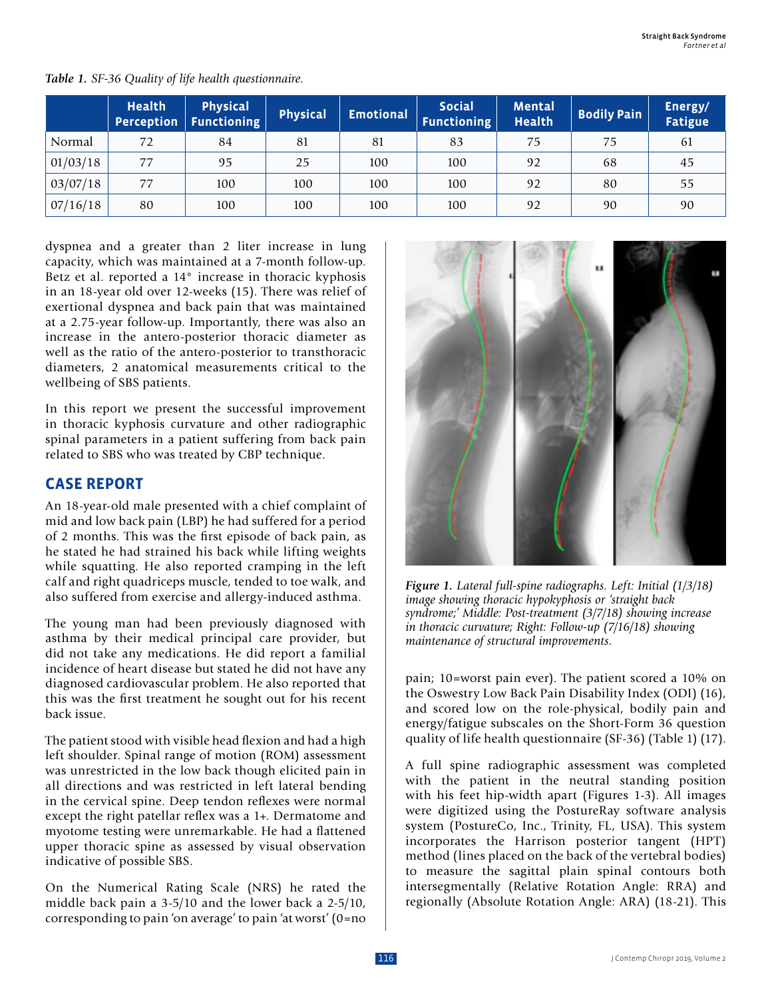|          | <b>Health</b><br>Perception | <b>Physical</b><br><b>Functioning</b> | Physical | <b>Emotional</b> | <b>Social</b><br><b>Functioning</b> | <b>Mental</b><br><b>Health</b> | <b>Bodily Pain</b> | Energy/<br>Fatigue |
|----------|-----------------------------|---------------------------------------|----------|------------------|-------------------------------------|--------------------------------|--------------------|--------------------|
| Normal   | 72                          | 84                                    | 81       | 81               | 83                                  | 75                             | 75                 | 61                 |
| 01/03/18 | 77                          | 95                                    | 25       | 100              | 100                                 | 92                             | 68                 | 45                 |
| 03/07/18 | 77                          | 100                                   | 100      | 100              | 100                                 | 92                             | 80                 | 55                 |
| 07/16/18 | 80                          | 100                                   | 100      | 100              | 100                                 | 92                             | 90                 | 90                 |

*Table 1. SF-36 Quality of life health questionnaire.*

dyspnea and a greater than 2 liter increase in lung capacity, which was maintained at a 7-month follow-up. Betz et al. reported a 14° increase in thoracic kyphosis in an 18-year old over 12-weeks (15). There was relief of exertional dyspnea and back pain that was maintained at a 2.75-year follow-up. Importantly, there was also an increase in the antero-posterior thoracic diameter as well as the ratio of the antero-posterior to transthoracic diameters, 2 anatomical measurements critical to the wellbeing of SBS patients.

In this report we present the successful improvement in thoracic kyphosis curvature and other radiographic spinal parameters in a patient suffering from back pain related to SBS who was treated by CBP technique.

# **CASE REPORT**

An 18-year-old male presented with a chief complaint of mid and low back pain (LBP) he had suffered for a period of 2 months. This was the first episode of back pain, as he stated he had strained his back while lifting weights while squatting. He also reported cramping in the left calf and right quadriceps muscle, tended to toe walk, and also suffered from exercise and allergy-induced asthma.

The young man had been previously diagnosed with asthma by their medical principal care provider, but did not take any medications. He did report a familial incidence of heart disease but stated he did not have any diagnosed cardiovascular problem. He also reported that this was the first treatment he sought out for his recent back issue.

The patient stood with visible head flexion and had a high left shoulder. Spinal range of motion (ROM) assessment was unrestricted in the low back though elicited pain in all directions and was restricted in left lateral bending in the cervical spine. Deep tendon reflexes were normal except the right patellar reflex was a 1+. Dermatome and myotome testing were unremarkable. He had a flattened upper thoracic spine as assessed by visual observation indicative of possible SBS.

On the Numerical Rating Scale (NRS) he rated the middle back pain a 3-5/10 and the lower back a 2-5/10, corresponding to pain 'on average' to pain 'at worst' (0=no



*Figure 1. Lateral full-spine radiographs. Left: Initial (1/3/18) image showing thoracic hypokyphosis or 'straight back syndrome;' Middle: Post-treatment (3/7/18) showing increase in thoracic curvature; Right: Follow-up (7/16/18) showing maintenance of structural improvements.*

pain; 10=worst pain ever). The patient scored a 10% on the Oswestry Low Back Pain Disability Index (ODI) (16), and scored low on the role-physical, bodily pain and energy/fatigue subscales on the Short-Form 36 question quality of life health questionnaire (SF-36) (Table 1) (17).

A full spine radiographic assessment was completed with the patient in the neutral standing position with his feet hip-width apart (Figures 1-3). All images were digitized using the PostureRay software analysis system (PostureCo, Inc., Trinity, FL, USA). This system incorporates the Harrison posterior tangent (HPT) method (lines placed on the back of the vertebral bodies) to measure the sagittal plain spinal contours both intersegmentally (Relative Rotation Angle: RRA) and regionally (Absolute Rotation Angle: ARA) (18-21). This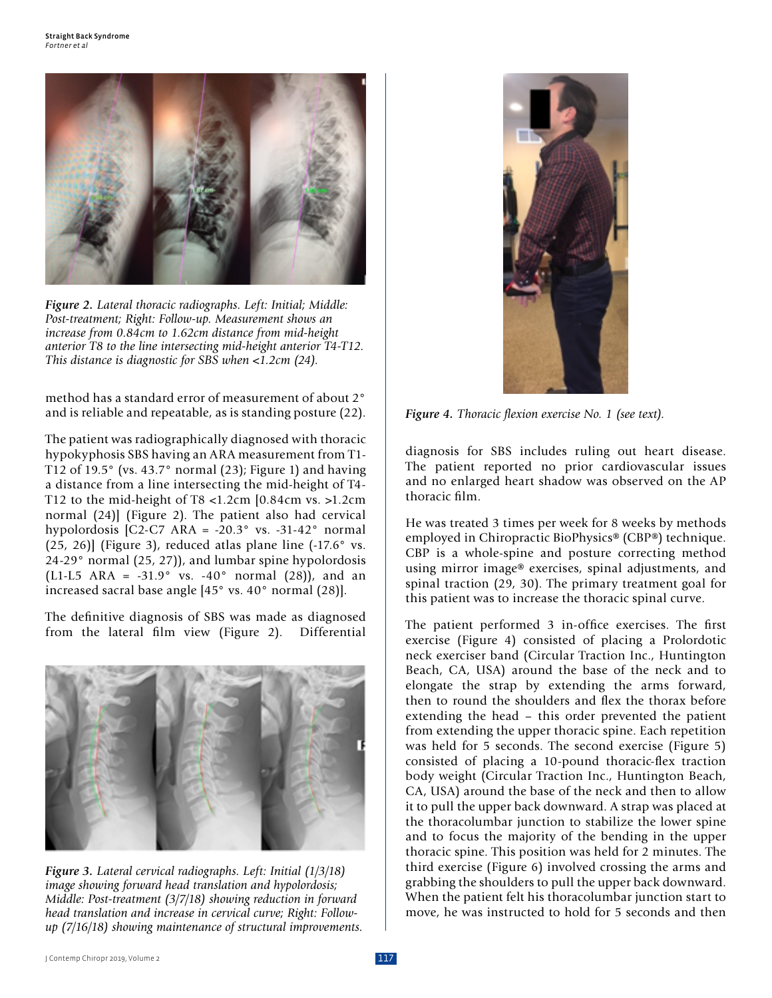

*Figure 2. Lateral thoracic radiographs. Left: Initial; Middle: Post-treatment; Right: Follow-up. Measurement shows an increase from 0.84cm to 1.62cm distance from mid-height anterior T8 to the line intersecting mid-height anterior T4-T12. This distance is diagnostic for SBS when <1.2cm (24).*

method has a standard error of measurement of about 2° and is reliable and repeatable, as is standing posture (22).

The patient was radiographically diagnosed with thoracic hypokyphosis SBS having an ARA measurement from T1- T12 of 19.5° (vs. 43.7° normal (23); Figure 1) and having a distance from a line intersecting the mid-height of T4- T12 to the mid-height of T8 <1.2cm [0.84cm vs. >1.2cm normal (24)] (Figure 2). The patient also had cervical hypolordosis [C2-C7 ARA = -20.3° vs. -31-42° normal  $(25, 26)$ ] (Figure 3), reduced atlas plane line  $(-17.6^\circ \text{ vs.})$ 24-29° normal (25, 27)), and lumbar spine hypolordosis (L1-L5 ARA = -31.9 $^{\circ}$  vs. -40 $^{\circ}$  normal (28)), and an increased sacral base angle [45° vs. 40° normal (28)].

The definitive diagnosis of SBS was made as diagnosed from the lateral film view (Figure 2). Differential



*Figure 3. Lateral cervical radiographs. Left: Initial (1/3/18) image showing forward head translation and hypolordosis; Middle: Post-treatment (3/7/18) showing reduction in forward head translation and increase in cervical curve; Right: Followup (7/16/18) showing maintenance of structural improvements.*



*Figure 4. Thoracic flexion exercise No. 1 (see text).*

diagnosis for SBS includes ruling out heart disease. The patient reported no prior cardiovascular issues and no enlarged heart shadow was observed on the AP thoracic film.

He was treated 3 times per week for 8 weeks by methods employed in Chiropractic BioPhysics® (CBP®) technique. CBP is a whole-spine and posture correcting method using mirror image® exercises, spinal adjustments, and spinal traction (29, 30). The primary treatment goal for this patient was to increase the thoracic spinal curve.

The patient performed 3 in-office exercises. The first exercise (Figure 4) consisted of placing a Prolordotic neck exerciser band (Circular Traction Inc., Huntington Beach, CA, USA) around the base of the neck and to elongate the strap by extending the arms forward, then to round the shoulders and flex the thorax before extending the head – this order prevented the patient from extending the upper thoracic spine. Each repetition was held for 5 seconds. The second exercise (Figure 5) consisted of placing a 10-pound thoracic-flex traction body weight (Circular Traction Inc., Huntington Beach, CA, USA) around the base of the neck and then to allow it to pull the upper back downward. A strap was placed at the thoracolumbar junction to stabilize the lower spine and to focus the majority of the bending in the upper thoracic spine. This position was held for 2 minutes. The third exercise (Figure 6) involved crossing the arms and grabbing the shoulders to pull the upper back downward. When the patient felt his thoracolumbar junction start to move, he was instructed to hold for 5 seconds and then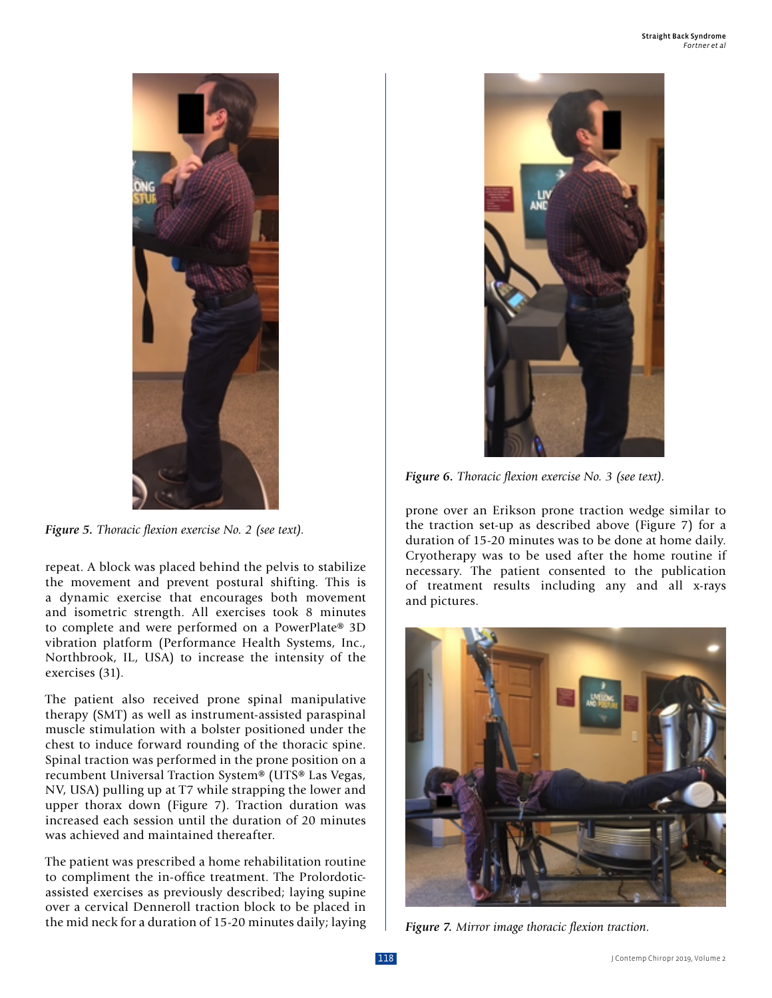

*Figure 5. Thoracic flexion exercise No. 2 (see text).*

repeat. A block was placed behind the pelvis to stabilize the movement and prevent postural shifting. This is a dynamic exercise that encourages both movement and isometric strength. All exercises took 8 minutes to complete and were performed on a PowerPlate® 3D vibration platform (Performance Health Systems, Inc., Northbrook, IL, USA) to increase the intensity of the exercises (31).

The patient also received prone spinal manipulative therapy (SMT) as well as instrument-assisted paraspinal muscle stimulation with a bolster positioned under the chest to induce forward rounding of the thoracic spine. Spinal traction was performed in the prone position on a recumbent Universal Traction System® (UTS® Las Vegas, NV, USA) pulling up at T7 while strapping the lower and upper thorax down (Figure 7). Traction duration was increased each session until the duration of 20 minutes was achieved and maintained thereafter.

The patient was prescribed a home rehabilitation routine to compliment the in-office treatment. The Prolordoticassisted exercises as previously described; laying supine over a cervical Denneroll traction block to be placed in the mid neck for a duration of 15-20 minutes daily; laying



*Figure 6. Thoracic flexion exercise No. 3 (see text).*

prone over an Erikson prone traction wedge similar to the traction set-up as described above (Figure 7) for a duration of 15-20 minutes was to be done at home daily. Cryotherapy was to be used after the home routine if necessary. The patient consented to the publication of treatment results including any and all x-rays and pictures.



*Figure 7. Mirror image thoracic flexion traction.*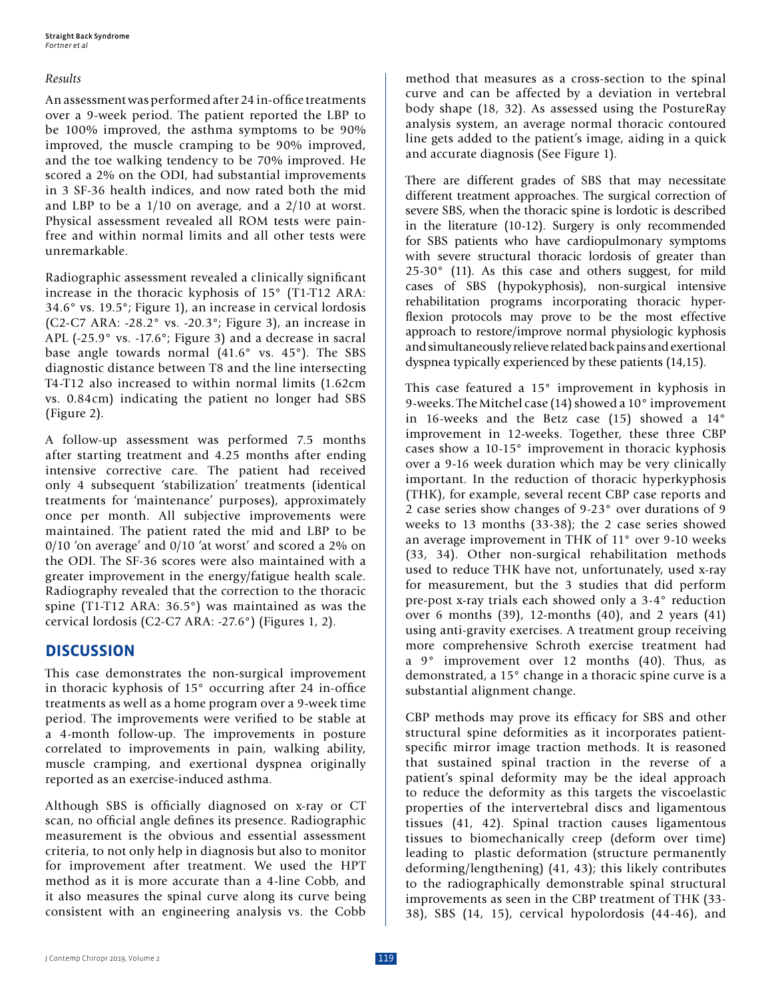#### *Results*

An assessment was performed after 24 in-office treatments over a 9-week period. The patient reported the LBP to be 100% improved, the asthma symptoms to be 90% improved, the muscle cramping to be 90% improved, and the toe walking tendency to be 70% improved. He scored a 2% on the ODI, had substantial improvements in 3 SF-36 health indices, and now rated both the mid and LBP to be a 1/10 on average, and a 2/10 at worst. Physical assessment revealed all ROM tests were painfree and within normal limits and all other tests were unremarkable.

Radiographic assessment revealed a clinically significant increase in the thoracic kyphosis of 15° (T1-T12 ARA: 34.6° vs. 19.5°; Figure 1), an increase in cervical lordosis (C2-C7 ARA: -28.2° vs. -20.3°; Figure 3), an increase in APL (-25.9° vs. -17.6°; Figure 3) and a decrease in sacral base angle towards normal (41.6° vs. 45°). The SBS diagnostic distance between T8 and the line intersecting T4-T12 also increased to within normal limits (1.62cm vs. 0.84cm) indicating the patient no longer had SBS (Figure 2).

A follow-up assessment was performed 7.5 months after starting treatment and 4.25 months after ending intensive corrective care. The patient had received only 4 subsequent 'stabilization' treatments (identical treatments for 'maintenance' purposes), approximately once per month. All subjective improvements were maintained. The patient rated the mid and LBP to be 0/10 'on average' and 0/10 'at worst' and scored a 2% on the ODI. The SF-36 scores were also maintained with a greater improvement in the energy/fatigue health scale. Radiography revealed that the correction to the thoracic spine (T1-T12 ARA: 36.5°) was maintained as was the cervical lordosis (C2-C7 ARA: -27.6°) (Figures 1, 2).

## **DISCUSSION**

This case demonstrates the non-surgical improvement in thoracic kyphosis of 15° occurring after 24 in-office treatments as well as a home program over a 9-week time period. The improvements were verified to be stable at a 4-month follow-up. The improvements in posture correlated to improvements in pain, walking ability, muscle cramping, and exertional dyspnea originally reported as an exercise-induced asthma.

Although SBS is officially diagnosed on x-ray or CT scan, no official angle defines its presence. Radiographic measurement is the obvious and essential assessment criteria, to not only help in diagnosis but also to monitor for improvement after treatment. We used the HPT method as it is more accurate than a 4-line Cobb, and it also measures the spinal curve along its curve being consistent with an engineering analysis vs. the Cobb

method that measures as a cross-section to the spinal curve and can be affected by a deviation in vertebral body shape (18, 32). As assessed using the PostureRay analysis system, an average normal thoracic contoured line gets added to the patient's image, aiding in a quick and accurate diagnosis (See Figure 1).

There are different grades of SBS that may necessitate different treatment approaches. The surgical correction of severe SBS, when the thoracic spine is lordotic is described in the literature (10-12). Surgery is only recommended for SBS patients who have cardiopulmonary symptoms with severe structural thoracic lordosis of greater than 25-30° (11). As this case and others suggest, for mild cases of SBS (hypokyphosis), non-surgical intensive rehabilitation programs incorporating thoracic hyperflexion protocols may prove to be the most effective approach to restore/improve normal physiologic kyphosis and simultaneously relieve related back pains and exertional dyspnea typically experienced by these patients (14,15).

This case featured a 15° improvement in kyphosis in 9-weeks. The Mitchel case (14) showed a 10° improvement in 16-weeks and the Betz case (15) showed a 14° improvement in 12-weeks. Together, these three CBP cases show a 10-15° improvement in thoracic kyphosis over a 9-16 week duration which may be very clinically important. In the reduction of thoracic hyperkyphosis (THK), for example, several recent CBP case reports and 2 case series show changes of 9-23° over durations of 9 weeks to 13 months (33-38); the 2 case series showed an average improvement in THK of 11° over 9-10 weeks (33, 34). Other non-surgical rehabilitation methods used to reduce THK have not, unfortunately, used x-ray for measurement, but the 3 studies that did perform pre-post x-ray trials each showed only a 3-4° reduction over 6 months (39), 12-months (40), and 2 years (41) using anti-gravity exercises. A treatment group receiving more comprehensive Schroth exercise treatment had a 9° improvement over 12 months (40). Thus, as demonstrated, a 15° change in a thoracic spine curve is a substantial alignment change.

CBP methods may prove its efficacy for SBS and other structural spine deformities as it incorporates patientspecific mirror image traction methods. It is reasoned that sustained spinal traction in the reverse of a patient's spinal deformity may be the ideal approach to reduce the deformity as this targets the viscoelastic properties of the intervertebral discs and ligamentous tissues (41, 42). Spinal traction causes ligamentous tissues to biomechanically creep (deform over time) leading to plastic deformation (structure permanently deforming/lengthening) (41, 43); this likely contributes to the radiographically demonstrable spinal structural improvements as seen in the CBP treatment of THK (33- 38), SBS (14, 15), cervical hypolordosis (44-46), and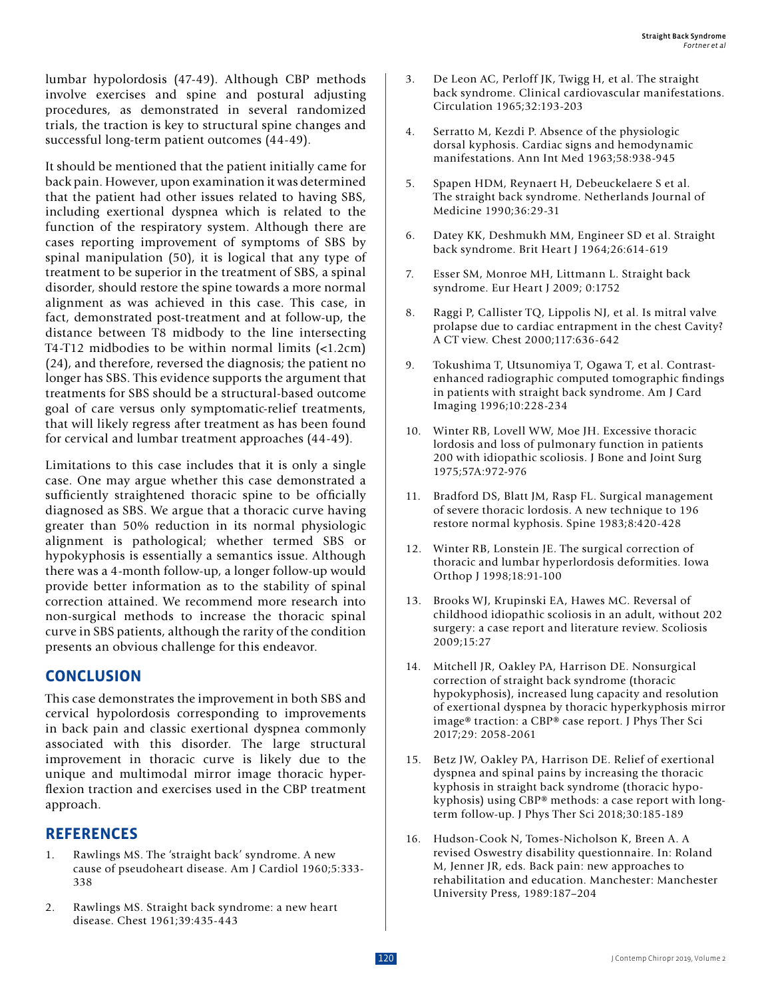lumbar hypolordosis (47-49). Although CBP methods involve exercises and spine and postural adjusting procedures, as demonstrated in several randomized trials, the traction is key to structural spine changes and successful long-term patient outcomes (44-49).

It should be mentioned that the patient initially came for back pain. However, upon examination it was determined that the patient had other issues related to having SBS, including exertional dyspnea which is related to the function of the respiratory system. Although there are cases reporting improvement of symptoms of SBS by spinal manipulation (50), it is logical that any type of treatment to be superior in the treatment of SBS, a spinal disorder, should restore the spine towards a more normal alignment as was achieved in this case. This case, in fact, demonstrated post-treatment and at follow-up, the distance between T8 midbody to the line intersecting T4-T12 midbodies to be within normal limits (<1.2cm) (24), and therefore, reversed the diagnosis; the patient no longer has SBS. This evidence supports the argument that treatments for SBS should be a structural-based outcome goal of care versus only symptomatic-relief treatments, that will likely regress after treatment as has been found for cervical and lumbar treatment approaches (44-49).

Limitations to this case includes that it is only a single case. One may argue whether this case demonstrated a sufficiently straightened thoracic spine to be officially diagnosed as SBS. We argue that a thoracic curve having greater than 50% reduction in its normal physiologic alignment is pathological; whether termed SBS or hypokyphosis is essentially a semantics issue. Although there was a 4-month follow-up, a longer follow-up would provide better information as to the stability of spinal correction attained. We recommend more research into non-surgical methods to increase the thoracic spinal curve in SBS patients, although the rarity of the condition presents an obvious challenge for this endeavor.

# **CONCLUSION**

This case demonstrates the improvement in both SBS and cervical hypolordosis corresponding to improvements in back pain and classic exertional dyspnea commonly associated with this disorder. The large structural improvement in thoracic curve is likely due to the unique and multimodal mirror image thoracic hyperflexion traction and exercises used in the CBP treatment approach.

# **REFERENCES**

- Rawlings MS. The 'straight back' syndrome. A new cause of pseudoheart disease. Am J Cardiol 1960;5:333- 338
- 2. Rawlings MS. Straight back syndrome: a new heart disease. Chest 1961;39:435-443
- 3. De Leon AC, Perloff JK, Twigg H, et al. The straight back syndrome. Clinical cardiovascular manifestations. Circulation 1965;32:193-203
- 4. Serratto M, Kezdi P. Absence of the physiologic dorsal kyphosis. Cardiac signs and hemodynamic manifestations. Ann Int Med 1963;58:938-945
- 5. Spapen HDM, Reynaert H, Debeuckelaere S et al. The straight back syndrome. Netherlands Journal of Medicine 1990;36:29-31
- 6. Datey KK, Deshmukh MM, Engineer SD et al. Straight back syndrome. Brit Heart J 1964;26:614-619
- 7. Esser SM, Monroe MH, Littmann L. Straight back syndrome. Eur Heart J 2009; 0:1752
- 8. Raggi P, Callister TQ, Lippolis NJ, et al. Is mitral valve prolapse due to cardiac entrapment in the chest Cavity? A CT view. Chest 2000;117:636-642
- 9. Tokushima T, Utsunomiya T, Ogawa T, et al. Contrastenhanced radiographic computed tomographic findings in patients with straight back syndrome. Am J Card Imaging 1996;10:228-234
- 10. Winter RB, Lovell WW, Moe JH. Excessive thoracic lordosis and loss of pulmonary function in patients 200 with idiopathic scoliosis. J Bone and Joint Surg 1975;57A:972-976
- 11. Bradford DS, Blatt JM, Rasp FL. Surgical management of severe thoracic lordosis. A new technique to 196 restore normal kyphosis. Spine 1983;8:420-428
- 12. Winter RB, Lonstein JE. The surgical correction of thoracic and lumbar hyperlordosis deformities. Iowa Orthop J 1998;18:91-100
- 13. Brooks WJ, Krupinski EA, Hawes MC. Reversal of childhood idiopathic scoliosis in an adult, without 202 surgery: a case report and literature review. Scoliosis 2009;15:27
- 14. Mitchell JR, Oakley PA, Harrison DE. Nonsurgical correction of straight back syndrome (thoracic hypokyphosis), increased lung capacity and resolution of exertional dyspnea by thoracic hyperkyphosis mirror image® traction: a CBP® case report. J Phys Ther Sci 2017;29: 2058-2061
- 15. Betz JW, Oakley PA, Harrison DE. Relief of exertional dyspnea and spinal pains by increasing the thoracic kyphosis in straight back syndrome (thoracic hypokyphosis) using CBP® methods: a case report with longterm follow-up. J Phys Ther Sci 2018;30:185-189
- 16. Hudson-Cook N, Tomes-Nicholson K, Breen A. A revised Oswestry disability questionnaire. In: Roland M, Jenner JR, eds. Back pain: new approaches to rehabilitation and education. Manchester: Manchester University Press, 1989:187–204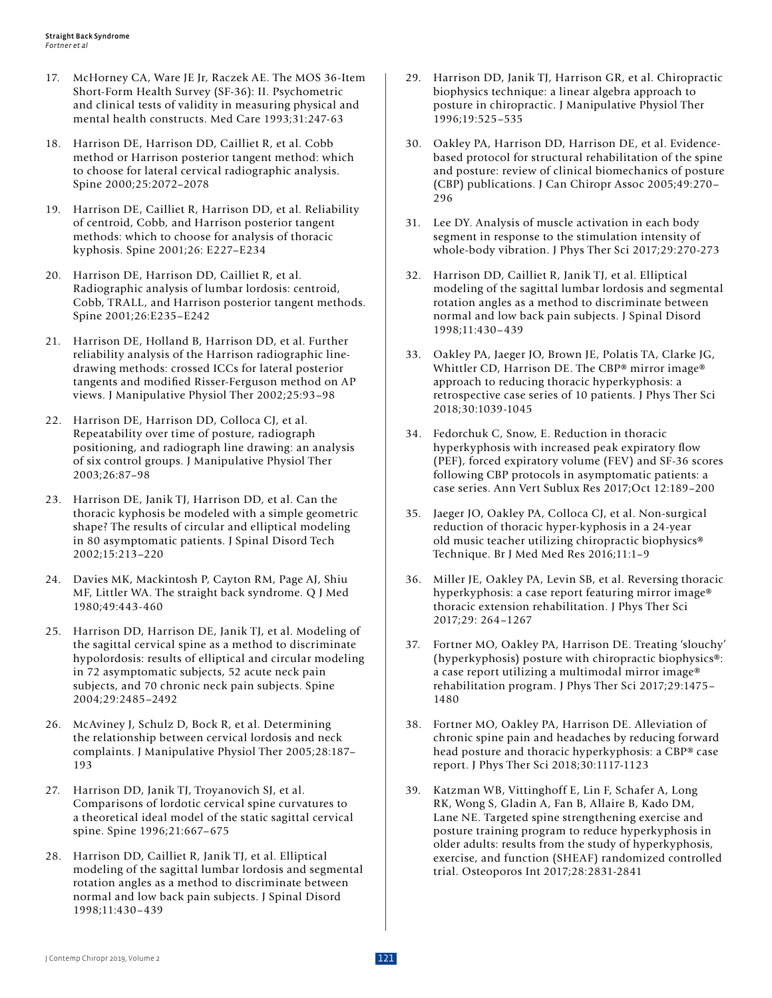- 17. McHorney CA, Ware JE Jr, Raczek AE. The MOS 36-Item Short-Form Health Survey (SF-36): II. Psychometric and clinical tests of validity in measuring physical and mental health constructs. Med Care 1993;31:247-63
- 18. Harrison DE, Harrison DD, Cailliet R, et al. Cobb method or Harrison posterior tangent method: which to choose for lateral cervical radiographic analysis. Spine 2000;25:2072–2078
- 19. Harrison DE, Cailliet R, Harrison DD, et al. Reliability of centroid, Cobb, and Harrison posterior tangent methods: which to choose for analysis of thoracic kyphosis. Spine 2001;26: E227–E234
- 20. Harrison DE, Harrison DD, Cailliet R, et al. Radiographic analysis of lumbar lordosis: centroid, Cobb, TRALL, and Harrison posterior tangent methods. Spine 2001;26:E235–E242
- 21. Harrison DE, Holland B, Harrison DD, et al. Further reliability analysis of the Harrison radiographic linedrawing methods: crossed ICCs for lateral posterior tangents and modified Risser-Ferguson method on AP views. J Manipulative Physiol Ther 2002;25:93–98
- 22. Harrison DE, Harrison DD, Colloca CJ, et al. Repeatability over time of posture, radiograph positioning, and radiograph line drawing: an analysis of six control groups. J Manipulative Physiol Ther 2003;26:87–98
- 23. Harrison DE, Janik TJ, Harrison DD, et al. Can the thoracic kyphosis be modeled with a simple geometric shape? The results of circular and elliptical modeling in 80 asymptomatic patients. J Spinal Disord Tech 2002;15:213–220
- 24. Davies MK, Mackintosh P, Cayton RM, Page AJ, Shiu MF, Littler WA. The straight back syndrome. Q J Med 1980;49:443-460
- 25. Harrison DD, Harrison DE, Janik TJ, et al. Modeling of the sagittal cervical spine as a method to discriminate hypolordosis: results of elliptical and circular modeling in 72 asymptomatic subjects, 52 acute neck pain subjects, and 70 chronic neck pain subjects. Spine 2004;29:2485–2492
- 26. McAviney J, Schulz D, Bock R, et al. Determining the relationship between cervical lordosis and neck complaints. J Manipulative Physiol Ther 2005;28:187– 193
- 27. Harrison DD, Janik TJ, Troyanovich SJ, et al. Comparisons of lordotic cervical spine curvatures to a theoretical ideal model of the static sagittal cervical spine. Spine 1996;21:667–675
- 28. Harrison DD, Cailliet R, Janik TJ, et al. Elliptical modeling of the sagittal lumbar lordosis and segmental rotation angles as a method to discriminate between normal and low back pain subjects. J Spinal Disord 1998;11:430–439
- 29. Harrison DD, Janik TJ, Harrison GR, et al. Chiropractic biophysics technique: a linear algebra approach to posture in chiropractic. J Manipulative Physiol Ther 1996;19:525–535
- 30. Oakley PA, Harrison DD, Harrison DE, et al. Evidencebased protocol for structural rehabilitation of the spine and posture: review of clinical biomechanics of posture (CBP) publications. J Can Chiropr Assoc 2005;49:270– 296
- 31. Lee DY. Analysis of muscle activation in each body segment in response to the stimulation intensity of whole-body vibration. J Phys Ther Sci 2017;29:270-273
- 32. Harrison DD, Cailliet R, Janik TJ, et al. Elliptical modeling of the sagittal lumbar lordosis and segmental rotation angles as a method to discriminate between normal and low back pain subjects. J Spinal Disord 1998;11:430–439
- 33. Oakley PA, Jaeger JO, Brown JE, Polatis TA, Clarke JG, Whittler CD, Harrison DE. The CBP® mirror image® approach to reducing thoracic hyperkyphosis: a retrospective case series of 10 patients. J Phys Ther Sci 2018;30:1039-1045
- 34. Fedorchuk C, Snow, E. Reduction in thoracic hyperkyphosis with increased peak expiratory flow (PEF), forced expiratory volume (FEV) and SF-36 scores following CBP protocols in asymptomatic patients: a case series. Ann Vert Sublux Res 2017;Oct 12:189–200
- 35. Jaeger JO, Oakley PA, Colloca CJ, et al. Non-surgical reduction of thoracic hyper-kyphosis in a 24-year old music teacher utilizing chiropractic biophysics® Technique. Br J Med Med Res 2016;11:1–9
- 36. Miller JE, Oakley PA, Levin SB, et al. Reversing thoracic hyperkyphosis: a case report featuring mirror image® thoracic extension rehabilitation. J Phys Ther Sci 2017;29: 264–1267
- 37. Fortner MO, Oakley PA, Harrison DE. Treating 'slouchy' (hyperkyphosis) posture with chiropractic biophysics®: a case report utilizing a multimodal mirror image® rehabilitation program. J Phys Ther Sci 2017;29:1475– 1480
- 38. Fortner MO, Oakley PA, Harrison DE. Alleviation of chronic spine pain and headaches by reducing forward head posture and thoracic hyperkyphosis: a CBP® case report. J Phys Ther Sci 2018;30:1117-1123
- 39. Katzman WB, Vittinghoff E, Lin F, Schafer A, Long RK, Wong S, Gladin A, Fan B, Allaire B, Kado DM, Lane NE. Targeted spine strengthening exercise and posture training program to reduce hyperkyphosis in older adults: results from the study of hyperkyphosis, exercise, and function (SHEAF) randomized controlled trial. Osteoporos Int 2017;28:2831-2841